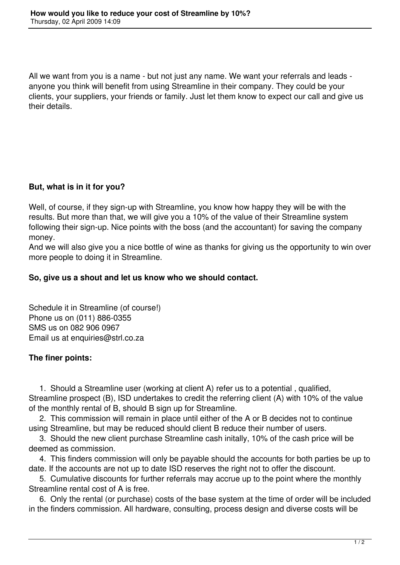All we want from you is a name - but not just any name. We want your referrals and leads anyone you think will benefit from using Streamline in their company. They could be your clients, your suppliers, your friends or family. Just let them know to expect our call and give us their details.

## **But, what is in it for you?**

Well, of course, if they sign-up with Streamline, you know how happy they will be with the results. But more than that, we will give you a 10% of the value of their Streamline system following their sign-up. Nice points with the boss (and the accountant) for saving the company money.

And we will also give you a nice bottle of wine as thanks for giving us the opportunity to win over more people to doing it in Streamline.

## **So, give us a shout and let us know who we should contact.**

Schedule it in Streamline (of course!) Phone us on (011) 886-0355 SMS us on 082 906 0967 Email us at enquiries@strl.co.za

## **The finer points:**

 1. Should a Streamline user (working at client A) refer us to a potential , qualified, Streamline prospect (B), ISD undertakes to credit the referring client (A) with 10% of the value of the monthly rental of B, should B sign up for Streamline.

 2. This commission will remain in place until either of the A or B decides not to continue using Streamline, but may be reduced should client B reduce their number of users.

 3. Should the new client purchase Streamline cash initally, 10% of the cash price will be deemed as commission.

 4. This finders commission will only be payable should the accounts for both parties be up to date. If the accounts are not up to date ISD reserves the right not to offer the discount.

 5. Cumulative discounts for further referrals may accrue up to the point where the monthly Streamline rental cost of A is free.

 6. Only the rental (or purchase) costs of the base system at the time of order will be included in the finders commission. All hardware, consulting, process design and diverse costs will be